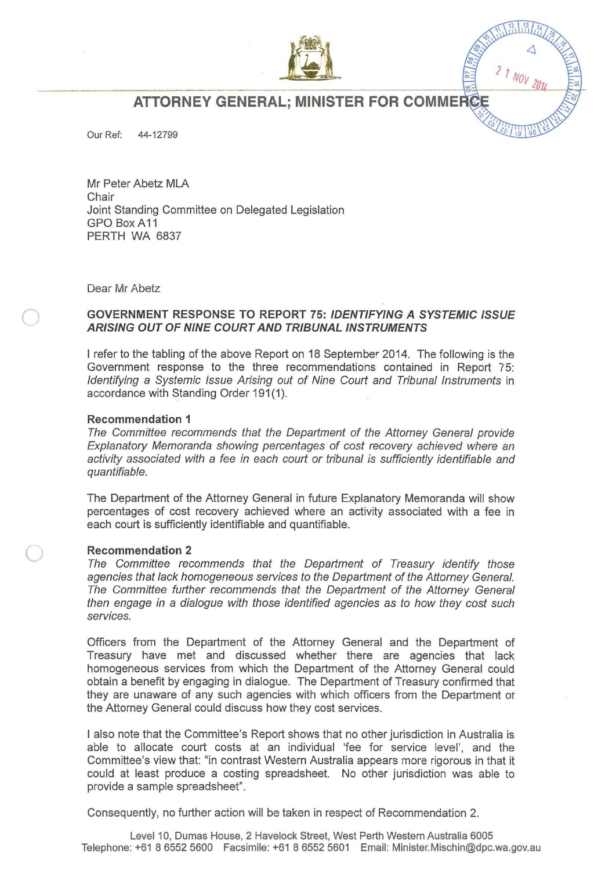

**ATTORNEY GENERAL; MINISTER FOR COMMERCI** 

Our Ref: 44-12799

Mr Peter Abetz MLA Chair Joint Standing Committee on Delegated Legislation GPO BoxA11 PERTH WA 6837

Dear Mr Abetz

## GOVERNMENT RESPONSE TO REPORT 75: IDENTIFYING A SYSTEMIC ISSUE ARISING OUT OF NINE COURT AND TRIBUNAL INSTRUMENTS

I refer to the tabling of the above Report on 18 September 2014. The following is the Government response to the three recommendations contained in Report 75: Identifying a Systemic Issue Arising out of Nine Court and Tribunal Instruments in accordance with Standing Order 191(1).

## Recommendation 1

The Committee recommends that the Department of the Attomey General provide Explanatory Memoranda showing percentages of cost recovery achieved where an activity associated with a fee in each court or tribunal is sufficiently identifiable and quantifiable.

The Department of the Attorney General in future Explanatory Memoranda will show percentages of cost recovery achieved where an activity associated with a fee in each court is sufficiently identifiable and quantifiable.

## Recommendation 2

The Committee recommends that the Department of Treasury identify those agencies that lack homogeneous services to the Department of the Attorney General. The Committee further recommends that the Department of the Attorney General then engage in a dialogue with those identified agencies as to how they cost such services.

Officers from the Department of the Attorney General and the Department of Treasury have met and discussed whether there are agencies that lack homogeneous services from which the Department of the Attorney General could obtain a benefit by engaging in dialogue. The Department of Treasury confirmed that they are unaware of any such agencies with which officers from the Department of the Attorney General could discuss how they cost services.

I also note that the Committee's Report shows that no other jurisdiction in Australia is able to allocate court costs at an individual 'fee for service level', and the Committee's view that: "in contrast Western Australia appears more rigorous in that it could at least produce a costing spreadsheet. No other jurisdiction was able to provide a sample spreadsheet".

Consequently, no further action will be taken in respect of Recommendation 2.

Level 10, Dumas House, 2 Havelock Street, West Perth Western Australia 6005 Telephone: +61 865525600 Facsimile: +61 865525601 Email: Minister.Mischin@dpc.wa.gov.au